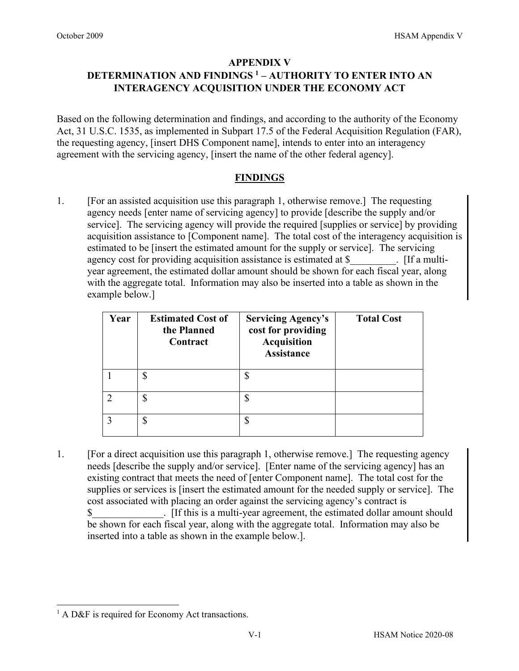## **APPENDIX V**

## **DETERMINATION AND FINDINGS [1](#page-0-0) – AUTHORITY TO ENTER INTO AN INTERAGENCY ACQUISITION UNDER THE ECONOMY ACT**

Based on the following determination and findings, and according to the authority of the Economy Act, 31 U.S.C. 1535, as implemented in Subpart 17.5 of the Federal Acquisition Regulation (FAR), the requesting agency, [insert DHS Component name], intends to enter into an interagency agreement with the servicing agency, [insert the name of the other federal agency].

## **FINDINGS**

1. [For an assisted acquisition use this paragraph 1, otherwise remove.] The requesting agency needs [enter name of servicing agency] to provide [describe the supply and/or service]. The servicing agency will provide the required [supplies or service] by providing acquisition assistance to [Component name]. The total cost of the interagency acquisition is estimated to be [insert the estimated amount for the supply or service]. The servicing agency cost for providing acquisition assistance is estimated at \$ . If a multiyear agreement, the estimated dollar amount should be shown for each fiscal year, along with the aggregate total. Information may also be inserted into a table as shown in the example below.]

| Year | <b>Estimated Cost of</b><br>the Planned<br>Contract | <b>Servicing Agency's</b><br>cost for providing<br><b>Acquisition</b><br><b>Assistance</b> | <b>Total Cost</b> |
|------|-----------------------------------------------------|--------------------------------------------------------------------------------------------|-------------------|
|      |                                                     | ¢<br>Φ                                                                                     |                   |
|      | S                                                   | \$                                                                                         |                   |
|      | \$                                                  | \$                                                                                         |                   |

1. [For a direct acquisition use this paragraph 1, otherwise remove.] The requesting agency needs [describe the supply and/or service]. [Enter name of the servicing agency] has an existing contract that meets the need of [enter Component name]. The total cost for the supplies or services is [insert the estimated amount for the needed supply or service]. The cost associated with placing an order against the servicing agency's contract is \$ Fig. Fig. 5. [If this is a multi-year agreement, the estimated dollar amount should be shown for each fiscal year, along with the aggregate total. Information may also be inserted into a table as shown in the example below.].

<span id="page-0-0"></span><sup>&</sup>lt;sup>1</sup> A D&F is required for Economy Act transactions.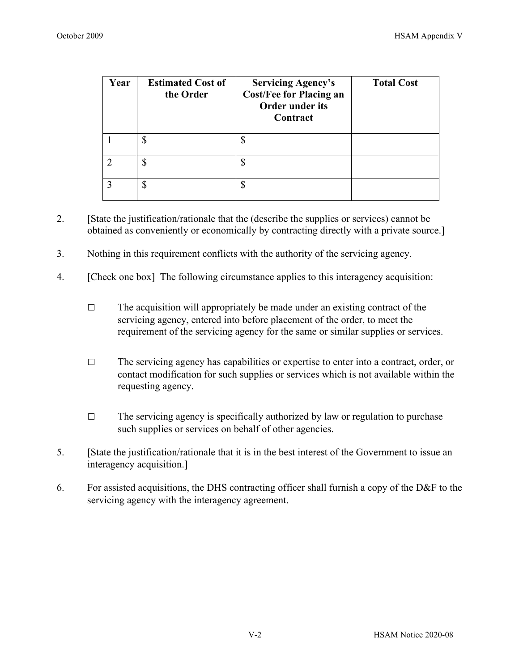| Year | <b>Estimated Cost of</b><br>the Order | <b>Servicing Agency's</b><br><b>Cost/Fee for Placing an</b><br><b>Order under its</b><br>Contract | <b>Total Cost</b> |
|------|---------------------------------------|---------------------------------------------------------------------------------------------------|-------------------|
|      | \$                                    |                                                                                                   |                   |
|      |                                       |                                                                                                   |                   |
|      |                                       |                                                                                                   |                   |

- 2. [State the justification/rationale that the (describe the supplies or services) cannot be obtained as conveniently or economically by contracting directly with a private source.]
- 3. Nothing in this requirement conflicts with the authority of the servicing agency.
- 4. [Check one box] The following circumstance applies to this interagency acquisition:
	- $\Box$  The acquisition will appropriately be made under an existing contract of the servicing agency, entered into before placement of the order, to meet the requirement of the servicing agency for the same or similar supplies or services.
	- $\Box$  The servicing agency has capabilities or expertise to enter into a contract, order, or contact modification for such supplies or services which is not available within the requesting agency.
	- $\Box$  The servicing agency is specifically authorized by law or regulation to purchase such supplies or services on behalf of other agencies.
- 5. [State the justification/rationale that it is in the best interest of the Government to issue an interagency acquisition.]
- 6. For assisted acquisitions, the DHS contracting officer shall furnish a copy of the D&F to the servicing agency with the interagency agreement.